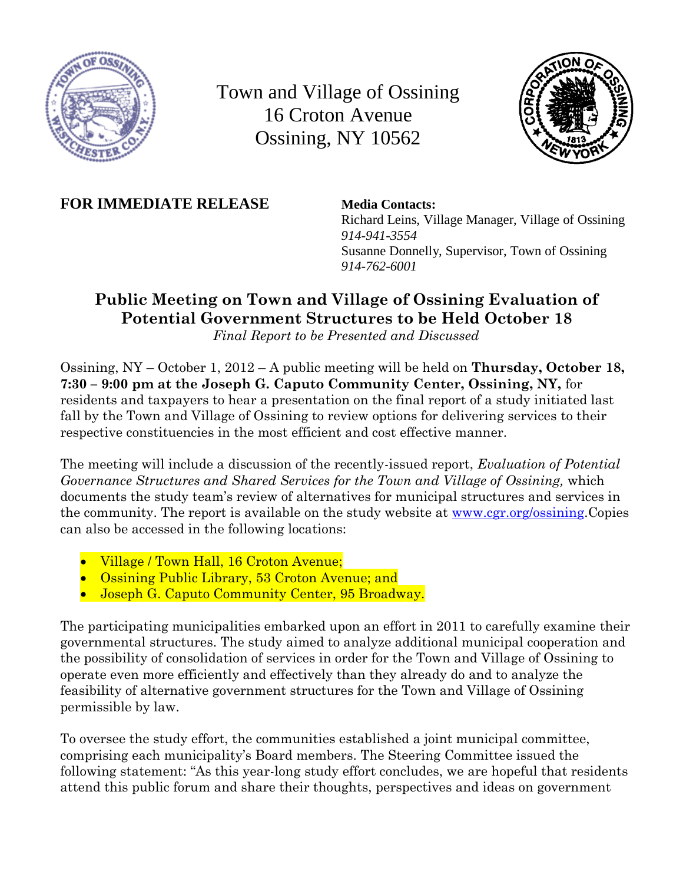

Town and Village of Ossining 16 Croton Avenue Ossining, NY 10562



**FOR IMMEDIATE RELEASE Media Contacts:**

Richard Leins, Village Manager, Village of Ossining *914-941-3554* Susanne Donnelly, Supervisor, Town of Ossining *914-762-6001*

# **Public Meeting on Town and Village of Ossining Evaluation of Potential Government Structures to be Held October 18**

*Final Report to be Presented and Discussed*

Ossining, NY – October 1, 2012 – A public meeting will be held on **Thursday, October 18, 7:30 – 9:00 pm at the Joseph G. Caputo Community Center, Ossining, NY,** for residents and taxpayers to hear a presentation on the final report of a study initiated last fall by the Town and Village of Ossining to review options for delivering services to their respective constituencies in the most efficient and cost effective manner.

The meeting will include a discussion of the recently-issued report, *Evaluation of Potential Governance Structures and Shared Services for the Town and Village of Ossining,* which documents the study team's review of alternatives for municipal structures and services in the community. The report is available on the study website at [www.cgr.org/ossining.](http://www.cgr.org/ossining)Copies can also be accessed in the following locations:

- Village / Town Hall, 16 Croton Avenue;
- Ossining Public Library, 53 Croton Avenue; and
- Joseph G. Caputo Community Center, 95 Broadway.

The participating municipalities embarked upon an effort in 2011 to carefully examine their governmental structures. The study aimed to analyze additional municipal cooperation and the possibility of consolidation of services in order for the Town and Village of Ossining to operate even more efficiently and effectively than they already do and to analyze the feasibility of alternative government structures for the Town and Village of Ossining permissible by law.

To oversee the study effort, the communities established a joint municipal committee, comprising each municipality's Board members. The Steering Committee issued the following statement: "As this year-long study effort concludes, we are hopeful that residents attend this public forum and share their thoughts, perspectives and ideas on government